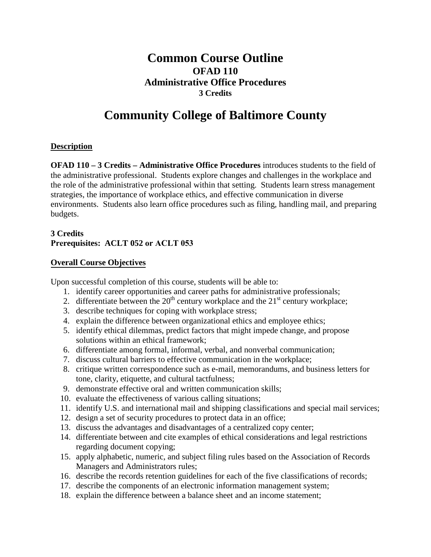## **Common Course Outline OFAD 110 Administrative Office Procedures 3 Credits**

# **Community College of Baltimore County**

#### **Description**

**OFAD 110 – 3 Credits – Administrative Office Procedures** introduces students to the field of the administrative professional. Students explore changes and challenges in the workplace and the role of the administrative professional within that setting. Students learn stress management strategies, the importance of workplace ethics, and effective communication in diverse environments. Students also learn office procedures such as filing, handling mail, and preparing budgets.

### **3 Credits Prerequisites: ACLT 052 or ACLT 053**

#### **Overall Course Objectives**

Upon successful completion of this course, students will be able to:

- 1. identify career opportunities and career paths for administrative professionals;
- 2. differentiate between the  $20<sup>th</sup>$  century workplace and the  $21<sup>st</sup>$  century workplace;
- 3. describe techniques for coping with workplace stress;
- 4. explain the difference between organizational ethics and employee ethics;
- 5. identify ethical dilemmas, predict factors that might impede change, and propose solutions within an ethical framework;
- 6. differentiate among formal, informal, verbal, and nonverbal communication;
- 7. discuss cultural barriers to effective communication in the workplace;
- 8. critique written correspondence such as e-mail, memorandums, and business letters for tone, clarity, etiquette, and cultural tactfulness;
- 9. demonstrate effective oral and written communication skills;
- 10. evaluate the effectiveness of various calling situations;
- 11. identify U.S. and international mail and shipping classifications and special mail services;
- 12. design a set of security procedures to protect data in an office;
- 13. discuss the advantages and disadvantages of a centralized copy center;
- 14. differentiate between and cite examples of ethical considerations and legal restrictions regarding document copying;
- 15. apply alphabetic, numeric, and subject filing rules based on the Association of Records Managers and Administrators rules;
- 16. describe the records retention guidelines for each of the five classifications of records;
- 17. describe the components of an electronic information management system;
- 18. explain the difference between a balance sheet and an income statement;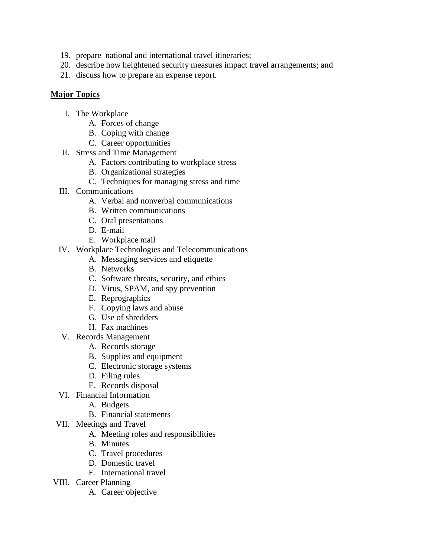- 19. prepare national and international travel itineraries;
- 20. describe how heightened security measures impact travel arrangements; and
- 21. discuss how to prepare an expense report.

#### **Major Topics**

- I. The Workplace
	- A. Forces of change
	- B. Coping with change
	- C. Career opportunities
- II. Stress and Time Management
	- A. Factors contributing to workplace stress
	- B. Organizational strategies
	- C. Techniques for managing stress and time
- III. Communications
	- A. Verbal and nonverbal communications
	- B. Written communications
	- C. Oral presentations
	- D. E-mail
	- E. Workplace mail
- IV. Workplace Technologies and Telecommunications
	- A. Messaging services and etiquette
	- B. Networks
	- C. Software threats, security, and ethics
	- D. Virus, SPAM, and spy prevention
	- E. Reprographics
	- F. Copying laws and abuse
	- G. Use of shredders
	- H. Fax machines
- V. Records Management
	- A. Records storage
	- B. Supplies and equipment
	- C. Electronic storage systems
	- D. Filing rules
	- E. Records disposal
- VI. Financial Information
	- A. Budgets
	- B. Financial statements
- VII. Meetings and Travel
	- A. Meeting roles and responsibilities
	- B. Minutes
	- C. Travel procedures
	- D. Domestic travel
		- E. International travel
- VIII. Career Planning
	- A. Career objective